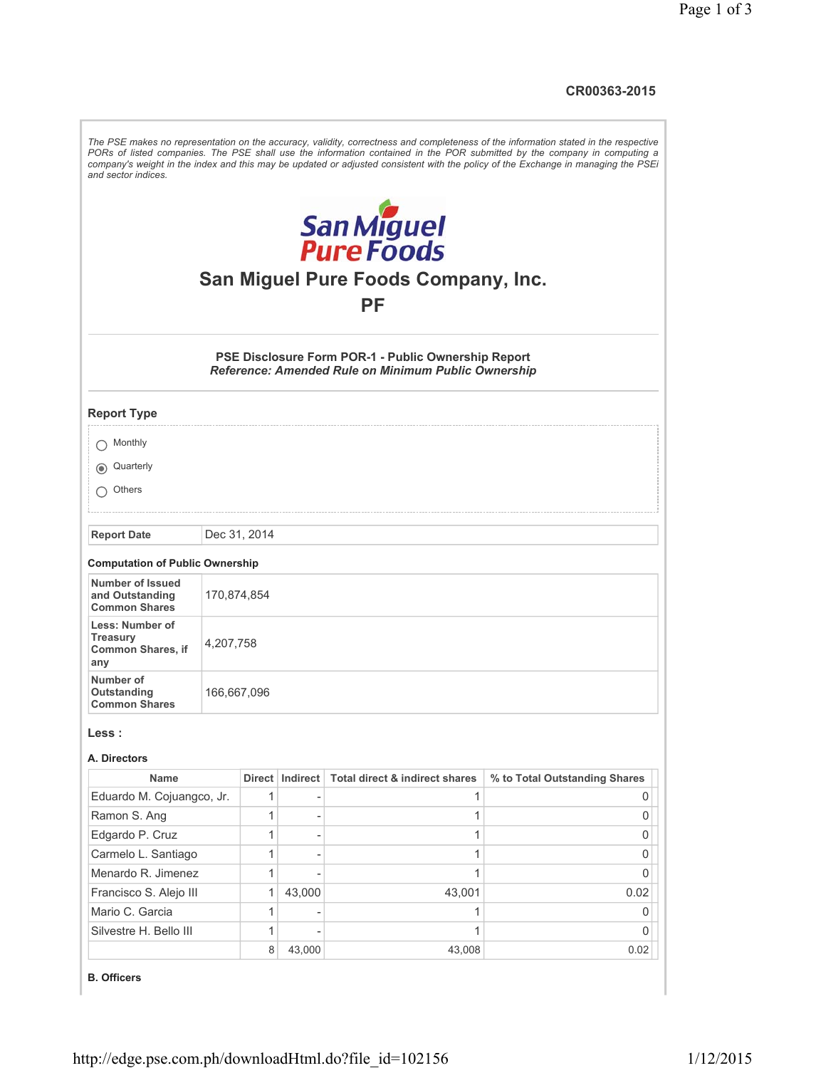**CR00363-2015**

| and sector indices.                                                   |              |   |                   |                                                                                                            | The PSE makes no representation on the accuracy, validity, correctness and completeness of the information stated in the respective<br>PORs of listed companies. The PSE shall use the information contained in the POR submitted by the company in computing a<br>company's weight in the index and this may be updated or adjusted consistent with the policy of the Exchange in managing the PSEi |  |  |  |  |
|-----------------------------------------------------------------------|--------------|---|-------------------|------------------------------------------------------------------------------------------------------------|------------------------------------------------------------------------------------------------------------------------------------------------------------------------------------------------------------------------------------------------------------------------------------------------------------------------------------------------------------------------------------------------------|--|--|--|--|
| San Miguel<br>Pure Foods<br>San Miguel Pure Foods Company, Inc.<br>PF |              |   |                   |                                                                                                            |                                                                                                                                                                                                                                                                                                                                                                                                      |  |  |  |  |
|                                                                       |              |   |                   | PSE Disclosure Form POR-1 - Public Ownership Report<br>Reference: Amended Rule on Minimum Public Ownership |                                                                                                                                                                                                                                                                                                                                                                                                      |  |  |  |  |
| <b>Report Type</b>                                                    |              |   |                   |                                                                                                            |                                                                                                                                                                                                                                                                                                                                                                                                      |  |  |  |  |
| Monthly                                                               |              |   |                   |                                                                                                            |                                                                                                                                                                                                                                                                                                                                                                                                      |  |  |  |  |
| Quarterly<br>$\odot$                                                  |              |   |                   |                                                                                                            |                                                                                                                                                                                                                                                                                                                                                                                                      |  |  |  |  |
| Others                                                                |              |   |                   |                                                                                                            |                                                                                                                                                                                                                                                                                                                                                                                                      |  |  |  |  |
| <b>Report Date</b>                                                    | Dec 31, 2014 |   |                   |                                                                                                            |                                                                                                                                                                                                                                                                                                                                                                                                      |  |  |  |  |
| <b>Computation of Public Ownership</b>                                |              |   |                   |                                                                                                            |                                                                                                                                                                                                                                                                                                                                                                                                      |  |  |  |  |
| <b>Number of Issued</b><br>and Outstanding<br><b>Common Shares</b>    | 170,874,854  |   |                   |                                                                                                            |                                                                                                                                                                                                                                                                                                                                                                                                      |  |  |  |  |
| Less: Number of<br>Treasury<br><b>Common Shares, if</b><br>any        | 4,207,758    |   |                   |                                                                                                            |                                                                                                                                                                                                                                                                                                                                                                                                      |  |  |  |  |
| Number of<br>Outstanding<br><b>Common Shares</b>                      | 166,667,096  |   |                   |                                                                                                            |                                                                                                                                                                                                                                                                                                                                                                                                      |  |  |  |  |
| Less :                                                                |              |   |                   |                                                                                                            |                                                                                                                                                                                                                                                                                                                                                                                                      |  |  |  |  |
| A. Directors<br><b>Name</b>                                           |              |   | Direct   Indirect | Total direct & indirect shares                                                                             | % to Total Outstanding Shares                                                                                                                                                                                                                                                                                                                                                                        |  |  |  |  |
| Eduardo M. Cojuangco, Jr.                                             |              | 1 |                   | 1                                                                                                          | 0                                                                                                                                                                                                                                                                                                                                                                                                    |  |  |  |  |
| Ramon S. Ang                                                          |              | 1 |                   | 1                                                                                                          | 0                                                                                                                                                                                                                                                                                                                                                                                                    |  |  |  |  |
| Edgardo P. Cruz                                                       |              | 1 |                   | 1                                                                                                          | 0                                                                                                                                                                                                                                                                                                                                                                                                    |  |  |  |  |
| Carmelo L. Santiago                                                   |              | 1 |                   | 1                                                                                                          | 0                                                                                                                                                                                                                                                                                                                                                                                                    |  |  |  |  |
| Menardo R. Jimenez                                                    |              | 1 |                   | 1                                                                                                          | 0                                                                                                                                                                                                                                                                                                                                                                                                    |  |  |  |  |
| Francisco S. Alejo III                                                |              | 1 | 43,000            | 43,001                                                                                                     | 0.02                                                                                                                                                                                                                                                                                                                                                                                                 |  |  |  |  |
| Mario C. Garcia                                                       |              | 1 |                   | 1                                                                                                          | 0                                                                                                                                                                                                                                                                                                                                                                                                    |  |  |  |  |
| Silvestre H. Bello III                                                |              | 1 |                   | 1                                                                                                          | 0                                                                                                                                                                                                                                                                                                                                                                                                    |  |  |  |  |
|                                                                       |              | 8 | 43,000            | 43,008                                                                                                     | 0.02                                                                                                                                                                                                                                                                                                                                                                                                 |  |  |  |  |
| <b>B.</b> Officers                                                    |              |   |                   |                                                                                                            |                                                                                                                                                                                                                                                                                                                                                                                                      |  |  |  |  |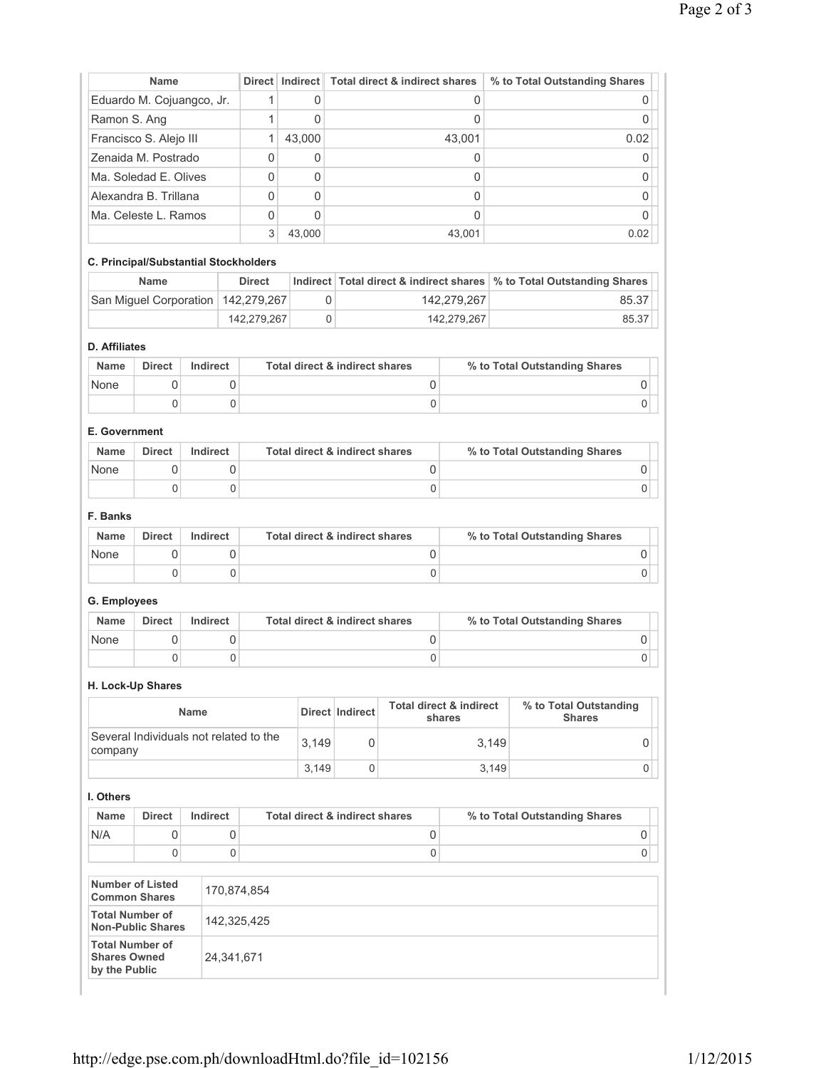|                                                             |                           |                 |             |                           |                                           |                                                          |                                              |                                         |                               | % to Total Outstanding Shares |  |
|-------------------------------------------------------------|---------------------------|-----------------|-------------|---------------------------|-------------------------------------------|----------------------------------------------------------|----------------------------------------------|-----------------------------------------|-------------------------------|-------------------------------|--|
|                                                             | Eduardo M. Cojuangco, Jr. |                 | 1           | 0                         |                                           |                                                          |                                              |                                         | $\mathbf 0$                   |                               |  |
|                                                             | Ramon S. Ang              |                 | 1           | 0                         |                                           |                                                          |                                              |                                         | $\Omega$                      |                               |  |
| Francisco S. Alejo III                                      |                           | 1               | 43,000      |                           |                                           |                                                          |                                              | 0.02                                    |                               |                               |  |
| Zenaida M. Postrado                                         |                           |                 |             | 0                         | 0                                         |                                                          |                                              | 0                                       |                               | 0                             |  |
| Ma. Soledad E. Olives                                       |                           | 0               | $\mathbf 0$ |                           | 0                                         |                                                          | 0                                            |                                         |                               |                               |  |
| Alexandra B. Trillana                                       |                           | 0               | 0           |                           |                                           | 0                                                        |                                              | $\mathbf 0$                             |                               |                               |  |
| Ma. Celeste L. Ramos                                        |                           |                 | 0           | 0                         |                                           |                                                          | 0                                            |                                         | 0                             |                               |  |
|                                                             |                           |                 |             | 3                         | 43,000                                    |                                                          |                                              | 43,001                                  |                               | 0.02                          |  |
| C. Principal/Substantial Stockholders                       |                           |                 |             |                           |                                           |                                                          |                                              |                                         |                               |                               |  |
|                                                             | <b>Name</b>               |                 |             | <b>Direct</b><br>Indirect |                                           | Total direct & indirect shares                           |                                              |                                         | % to Total Outstanding Shares |                               |  |
| San Miguel Corporation   142,279,267                        |                           |                 |             | 0<br>142,279,267          |                                           |                                                          |                                              | 85.37                                   |                               |                               |  |
|                                                             |                           | 142,279,267     | 0           |                           | 142,279,267                               |                                                          | 85.37                                        |                                         |                               |                               |  |
| <b>D.</b> Affiliates                                        |                           |                 |             |                           |                                           |                                                          |                                              |                                         |                               |                               |  |
| <b>Name</b>                                                 | <b>Direct</b>             | Indirect        |             |                           |                                           | <b>Total direct &amp; indirect shares</b>                |                                              |                                         | % to Total Outstanding Shares |                               |  |
| None                                                        | 0                         |                 | 0           |                           |                                           |                                                          | 0                                            |                                         | 0                             |                               |  |
|                                                             | 0                         |                 | 0           |                           |                                           |                                                          | 0                                            |                                         |                               | 0                             |  |
|                                                             |                           |                 |             |                           |                                           |                                                          |                                              |                                         |                               |                               |  |
| E. Government                                               |                           |                 |             |                           |                                           |                                                          |                                              |                                         |                               |                               |  |
| <b>Name</b>                                                 | <b>Direct</b>             | <b>Indirect</b> |             |                           |                                           | Total direct & indirect shares                           |                                              |                                         | % to Total Outstanding Shares |                               |  |
| None                                                        | 0                         |                 | 0           |                           |                                           |                                                          | $\mathsf 0$                                  |                                         |                               | 0                             |  |
|                                                             | 0                         |                 | 0           |                           |                                           |                                                          | 0                                            |                                         |                               | 0                             |  |
| F. Banks                                                    |                           |                 |             |                           |                                           |                                                          |                                              |                                         |                               |                               |  |
| <b>Name</b>                                                 | <b>Direct</b>             | Indirect        |             |                           |                                           |                                                          |                                              |                                         | % to Total Outstanding Shares |                               |  |
| None                                                        | 0                         |                 | 0           |                           |                                           | <b>Total direct &amp; indirect shares</b><br>$\mathsf 0$ |                                              |                                         |                               | 0                             |  |
|                                                             | 0                         |                 | $\mathbf 0$ |                           |                                           |                                                          | 0                                            |                                         |                               | 0                             |  |
|                                                             |                           |                 |             |                           |                                           |                                                          |                                              |                                         |                               |                               |  |
| G. Employees                                                |                           |                 |             |                           |                                           |                                                          |                                              |                                         |                               |                               |  |
| <b>Name</b>                                                 | <b>Direct</b>             | Indirect        |             |                           | Total direct & indirect shares            |                                                          |                                              | % to Total Outstanding Shares           |                               |                               |  |
| None                                                        | 0                         |                 | 0           |                           | 0                                         |                                                          |                                              |                                         | 0                             |                               |  |
|                                                             | 0                         |                 | 0           | 0                         |                                           |                                                          |                                              |                                         |                               | 0                             |  |
|                                                             |                           |                 |             |                           |                                           |                                                          |                                              |                                         |                               |                               |  |
| H. Lock-Up Shares                                           |                           |                 |             |                           |                                           |                                                          |                                              |                                         |                               |                               |  |
| Name                                                        |                           |                 |             |                           | Direct Indirect                           |                                                          | <b>Total direct &amp; indirect</b><br>shares | % to Total Outstanding<br><b>Shares</b> |                               |                               |  |
| Several Individuals not related to the<br>company           |                           |                 | 3,149       | 0                         |                                           |                                                          | 3,149                                        | $\mathbf 0$                             |                               |                               |  |
|                                                             |                           |                 |             |                           | 3,149                                     | 0                                                        |                                              |                                         | 3,149                         | 0                             |  |
| I. Others                                                   |                           |                 |             |                           |                                           |                                                          |                                              |                                         |                               |                               |  |
|                                                             |                           | Indirect        |             |                           |                                           |                                                          |                                              |                                         |                               |                               |  |
| <b>Name</b>                                                 | <b>Direct</b>             |                 |             |                           | <b>Total direct &amp; indirect shares</b> |                                                          |                                              | % to Total Outstanding Shares           |                               |                               |  |
| N/A                                                         | $\mathsf{O}\xspace$       |                 | 0           |                           | 0                                         |                                                          |                                              | 0                                       |                               |                               |  |
|                                                             | 0                         |                 | $\mathsf 0$ |                           |                                           |                                                          | $\mathsf 0$                                  |                                         |                               | 0                             |  |
| <b>Number of Listed</b><br><b>Common Shares</b>             |                           |                 |             | 170,874,854               |                                           |                                                          |                                              |                                         |                               |                               |  |
| <b>Total Number of</b><br><b>Non-Public Shares</b>          |                           |                 |             | 142,325,425               |                                           |                                                          |                                              |                                         |                               |                               |  |
| <b>Total Number of</b><br>24,341,671<br><b>Shares Owned</b> |                           |                 |             |                           |                                           |                                                          |                                              |                                         |                               |                               |  |